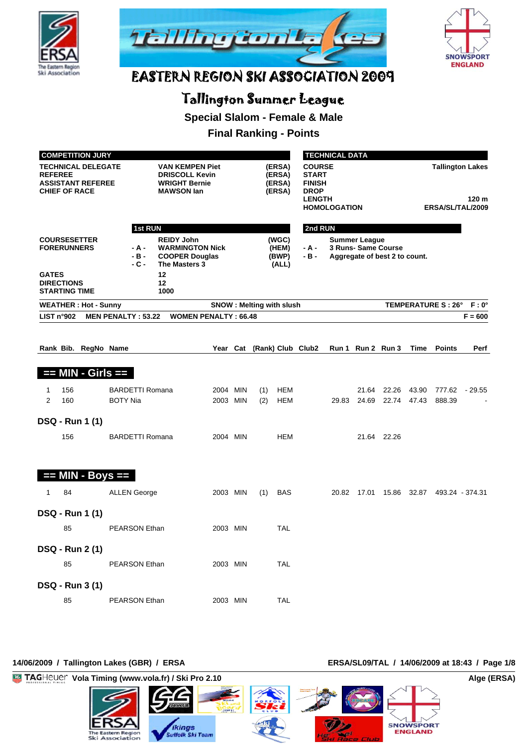





## Tallington Summer League

**Special Slalom - Female & Male**

#### **Final Ranking - Points**

|                |                                           | <b>COMPETITION JURY</b>                               |                           |                                                                                              |                             | <b>TECHNICAL DATA</b>           |                                      |                                                                                |                     |                                                                              |                   |                                                      |                                       |                |  |
|----------------|-------------------------------------------|-------------------------------------------------------|---------------------------|----------------------------------------------------------------------------------------------|-----------------------------|---------------------------------|--------------------------------------|--------------------------------------------------------------------------------|---------------------|------------------------------------------------------------------------------|-------------------|------------------------------------------------------|---------------------------------------|----------------|--|
| <b>REFEREE</b> | <b>CHIEF OF RACE</b>                      | <b>TECHNICAL DELEGATE</b><br><b>ASSISTANT REFEREE</b> |                           | <b>VAN KEMPEN Piet</b><br><b>DRISCOLL Kevin</b><br><b>WRIGHT Bernie</b><br><b>MAWSON lan</b> |                             |                                 | (ERSA)<br>(ERSA)<br>(ERSA)<br>(ERSA) | <b>COURSE</b><br><b>START</b><br><b>FINISH</b><br><b>DROP</b><br><b>LENGTH</b> | <b>HOMOLOGATION</b> |                                                                              |                   | <b>Tallington Lakes</b><br>120 m<br>ERSA/SL/TAL/2009 |                                       |                |  |
|                |                                           |                                                       | <b>1st RUN</b>            |                                                                                              |                             |                                 |                                      | 2nd RUN                                                                        |                     |                                                                              |                   |                                                      |                                       |                |  |
|                | <b>FORERUNNERS</b>                        | <b>COURSESETTER</b>                                   | - A -<br>$-B -$<br>$-C -$ | <b>REIDY John</b><br><b>WARMINGTON Nick</b><br><b>COOPER Douglas</b><br>The Masters 3        |                             |                                 | (WGC)<br>(HEM)<br>(BWP)<br>(ALL)     | - A -<br>- B -                                                                 |                     | <b>Summer League</b><br>3 Runs- Same Course<br>Aggregate of best 2 to count. |                   |                                                      |                                       |                |  |
| <b>GATES</b>   | <b>DIRECTIONS</b><br><b>STARTING TIME</b> |                                                       |                           | 12<br>12<br>1000                                                                             |                             |                                 |                                      |                                                                                |                     |                                                                              |                   |                                                      |                                       |                |  |
|                |                                           | <b>WEATHER: Hot - Sunny</b>                           |                           |                                                                                              |                             | <b>SNOW: Melting with slush</b> |                                      |                                                                                |                     |                                                                              |                   |                                                      | <b>TEMPERATURE S: 26°</b>             | $F: 0^{\circ}$ |  |
|                | LIST n°902                                |                                                       | <b>MEN PENALTY: 53.22</b> |                                                                                              | <b>WOMEN PENALTY: 66.48</b> |                                 |                                      |                                                                                |                     |                                                                              |                   |                                                      |                                       | $F = 600$      |  |
|                |                                           | Rank Bib. RegNo Name                                  |                           |                                                                                              |                             |                                 |                                      | Year Cat (Rank) Club Club2                                                     |                     |                                                                              | Run 1 Run 2 Run 3 | Time                                                 | <b>Points</b>                         | Perf           |  |
|                |                                           |                                                       |                           |                                                                                              |                             |                                 |                                      |                                                                                |                     |                                                                              |                   |                                                      |                                       |                |  |
|                |                                           | $==$ MIN - Girls $==$                                 |                           |                                                                                              |                             |                                 |                                      |                                                                                |                     |                                                                              |                   |                                                      |                                       |                |  |
| 1              | 156                                       |                                                       | <b>BARDETTI Romana</b>    |                                                                                              | 2004 MIN                    | (1)                             | HEM                                  |                                                                                |                     | 21.64                                                                        | 22.26             | 43.90                                                |                                       | 777.62 - 29.55 |  |
| $\overline{2}$ | 160                                       |                                                       | <b>BOTY Nia</b>           |                                                                                              | 2003 MIN                    | (2)                             | <b>HEM</b>                           |                                                                                | 29.83               | 24.69                                                                        |                   | 22.74 47.43                                          | 888.39                                |                |  |
|                |                                           | DSQ - Run 1 (1)                                       |                           |                                                                                              |                             |                                 |                                      |                                                                                |                     |                                                                              |                   |                                                      |                                       |                |  |
|                | 156                                       |                                                       | <b>BARDETTI Romana</b>    |                                                                                              | 2004 MIN                    |                                 | <b>HEM</b>                           |                                                                                |                     |                                                                              | 21.64 22.26       |                                                      |                                       |                |  |
|                |                                           |                                                       |                           |                                                                                              |                             |                                 |                                      |                                                                                |                     |                                                                              |                   |                                                      |                                       |                |  |
|                |                                           |                                                       |                           |                                                                                              |                             |                                 |                                      |                                                                                |                     |                                                                              |                   |                                                      |                                       |                |  |
| Ŧ              |                                           | $MIN - Boys ==$                                       |                           |                                                                                              |                             |                                 |                                      |                                                                                |                     |                                                                              |                   |                                                      |                                       |                |  |
| 1              | 84                                        |                                                       | <b>ALLEN George</b>       |                                                                                              | 2003 MIN                    | (1)                             | BAS                                  |                                                                                | 20.82               |                                                                              |                   |                                                      | 17.01  15.86  32.87  493.24  - 374.31 |                |  |
|                |                                           | DSQ - Run 1 (1)                                       |                           |                                                                                              |                             |                                 |                                      |                                                                                |                     |                                                                              |                   |                                                      |                                       |                |  |
|                | 85                                        |                                                       | PEARSON Ethan             |                                                                                              | 2003 MIN                    |                                 | <b>TAL</b>                           |                                                                                |                     |                                                                              |                   |                                                      |                                       |                |  |
|                |                                           | DSQ - Run 2 (1)                                       |                           |                                                                                              |                             |                                 |                                      |                                                                                |                     |                                                                              |                   |                                                      |                                       |                |  |
|                | 85                                        |                                                       | <b>PEARSON Ethan</b>      |                                                                                              | 2003 MIN                    |                                 | <b>TAL</b>                           |                                                                                |                     |                                                                              |                   |                                                      |                                       |                |  |
|                |                                           |                                                       |                           |                                                                                              |                             |                                 |                                      |                                                                                |                     |                                                                              |                   |                                                      |                                       |                |  |
|                |                                           | DSQ - Run 3 (1)                                       |                           |                                                                                              |                             |                                 |                                      |                                                                                |                     |                                                                              |                   |                                                      |                                       |                |  |
|                | 85                                        |                                                       | <b>PEARSON Ethan</b>      |                                                                                              | 2003 MIN                    |                                 | <b>TAL</b>                           |                                                                                |                     |                                                                              |                   |                                                      |                                       |                |  |

#### 14/06/2009 / Tallington Lakes (GBR) / ERSA **ERSA/SL09/TAL / 14/06/2009** at 18:43 / Page 1/8

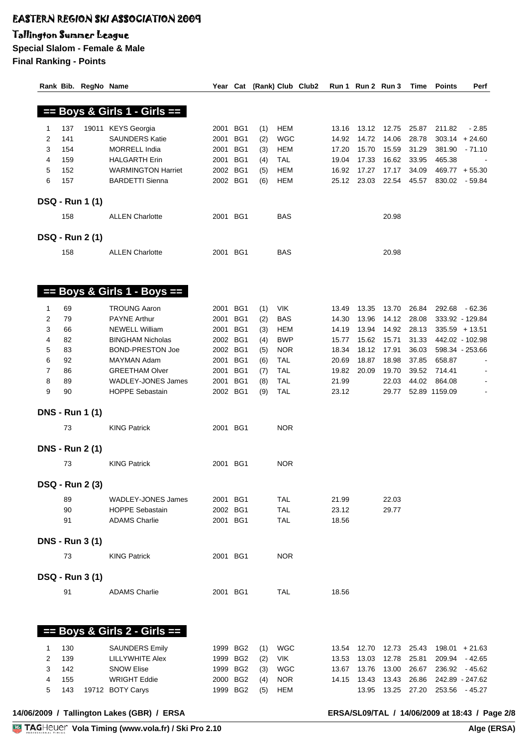#### Tallington Summer League

|   |     | Rank Bib. RegNo Name   |                                 | Year Cat |                 |     |            | (Rank) Club Club2 |       | Run 1 Run 2 Run 3 |       | Time  | <b>Points</b> | Perf             |
|---|-----|------------------------|---------------------------------|----------|-----------------|-----|------------|-------------------|-------|-------------------|-------|-------|---------------|------------------|
|   |     |                        |                                 |          |                 |     |            |                   |       |                   |       |       |               |                  |
|   |     |                        |                                 |          |                 |     |            |                   |       |                   |       |       |               |                  |
|   |     |                        | == Boys & Girls 1 - Girls ==    |          |                 |     |            |                   |       |                   |       |       |               |                  |
| 1 | 137 |                        | 19011 KEYS Georgia              | 2001     | BG1             | (1) | <b>HEM</b> |                   | 13.16 | 13.12             | 12.75 | 25.87 | 211.82        | $-2.85$          |
| 2 | 141 |                        | <b>SAUNDERS Katie</b>           | 2001     | BG1             | (2) | <b>WGC</b> |                   | 14.92 | 14.72             | 14.06 | 28.78 |               | $303.14 + 24.60$ |
| 3 | 154 |                        | <b>MORRELL India</b>            | 2001     | BG1             | (3) | <b>HEM</b> |                   | 17.20 | 15.70             | 15.59 | 31.29 | 381.90        | $-71.10$         |
|   |     |                        |                                 |          |                 |     |            |                   |       |                   |       |       |               |                  |
| 4 | 159 |                        | <b>HALGARTH Erin</b>            | 2001     | BG1             | (4) | <b>TAL</b> |                   | 19.04 | 17.33             | 16.62 | 33.95 | 465.38        |                  |
| 5 | 152 |                        | <b>WARMINGTON Harriet</b>       | 2002 BG1 |                 | (5) | <b>HEM</b> |                   | 16.92 | 17.27             | 17.17 | 34.09 |               | $469.77 + 55.30$ |
| 6 | 157 |                        | <b>BARDETTI Sienna</b>          | 2002 BG1 |                 | (6) | <b>HEM</b> |                   | 25.12 | 23.03             | 22.54 | 45.57 | 830.02        | - 59.84          |
|   |     |                        |                                 |          |                 |     |            |                   |       |                   |       |       |               |                  |
|   |     | <b>DSQ - Run 1 (1)</b> |                                 |          |                 |     |            |                   |       |                   |       |       |               |                  |
|   | 158 |                        | <b>ALLEN Charlotte</b>          | 2001 BG1 |                 |     | <b>BAS</b> |                   |       |                   | 20.98 |       |               |                  |
|   |     |                        |                                 |          |                 |     |            |                   |       |                   |       |       |               |                  |
|   |     | <b>DSQ - Run 2 (1)</b> |                                 |          |                 |     |            |                   |       |                   |       |       |               |                  |
|   |     |                        |                                 |          |                 |     |            |                   |       |                   |       |       |               |                  |
|   | 158 |                        | <b>ALLEN Charlotte</b>          | 2001 BG1 |                 |     | <b>BAS</b> |                   |       |                   | 20.98 |       |               |                  |
|   |     |                        |                                 |          |                 |     |            |                   |       |                   |       |       |               |                  |
|   |     |                        |                                 |          |                 |     |            |                   |       |                   |       |       |               |                  |
|   |     |                        |                                 |          |                 |     |            |                   |       |                   |       |       |               |                  |
|   |     |                        | $==$ Boys & Girls 1 - Boys $==$ |          |                 |     |            |                   |       |                   |       |       |               |                  |
| 1 | 69  |                        | <b>TROUNG Aaron</b>             | 2001     | BG1             |     | <b>VIK</b> |                   | 13.49 | 13.35             | 13.70 | 26.84 |               | 292.68 62.36     |
|   |     |                        |                                 |          | BG1             | (1) |            |                   |       |                   |       |       |               |                  |
| 2 | 79  |                        | <b>PAYNE Arthur</b>             | 2001     |                 | (2) | <b>BAS</b> |                   | 14.30 | 13.96             | 14.12 | 28.08 |               | 333.92 - 129.84  |
| 3 | 66  |                        | <b>NEWELL William</b>           | 2001     | BG1             | (3) | <b>HEM</b> |                   | 14.19 | 13.94             | 14.92 | 28.13 |               | $335.59 + 13.51$ |
| 4 | 82  |                        | <b>BINGHAM Nicholas</b>         | 2002 BG1 |                 | (4) | <b>BWP</b> |                   | 15.77 | 15.62             | 15.71 | 31.33 |               | 442.02 - 102.98  |
| 5 | 83  |                        | <b>BOND-PRESTON Joe</b>         | 2002 BG1 |                 | (5) | <b>NOR</b> |                   | 18.34 | 18.12             | 17.91 | 36.03 |               | 598.34 - 253.66  |
| 6 | 92  |                        | MAYMAN Adam                     | 2001     | BG1             | (6) | <b>TAL</b> |                   | 20.69 | 18.87             | 18.98 | 37.85 | 658.87        |                  |
| 7 | 86  |                        | <b>GREETHAM Olver</b>           | 2001     | BG1             | (7) | <b>TAL</b> |                   | 19.82 | 20.09             | 19.70 | 39.52 | 714.41        |                  |
| 8 | 89  |                        | <b>WADLEY-JONES James</b>       | 2001     | BG1             | (8) | <b>TAL</b> |                   | 21.99 |                   | 22.03 | 44.02 | 864.08        |                  |
| 9 | 90  |                        | <b>HOPPE Sebastain</b>          | 2002 BG1 |                 | (9) | <b>TAL</b> |                   | 23.12 |                   | 29.77 |       | 52.89 1159.09 |                  |
|   |     |                        |                                 |          |                 |     |            |                   |       |                   |       |       |               |                  |
|   |     | <b>DNS - Run 1 (1)</b> |                                 |          |                 |     |            |                   |       |                   |       |       |               |                  |
|   |     |                        |                                 |          |                 |     |            |                   |       |                   |       |       |               |                  |
|   | 73  |                        | <b>KING Patrick</b>             | 2001 BG1 |                 |     | <b>NOR</b> |                   |       |                   |       |       |               |                  |
|   |     |                        |                                 |          |                 |     |            |                   |       |                   |       |       |               |                  |
|   |     | <b>DNS - Run 2 (1)</b> |                                 |          |                 |     |            |                   |       |                   |       |       |               |                  |
|   | 73  |                        | <b>KING Patrick</b>             | 2001     | BG1             |     | <b>NOR</b> |                   |       |                   |       |       |               |                  |
|   |     |                        |                                 |          |                 |     |            |                   |       |                   |       |       |               |                  |
|   |     | <b>DSQ - Run 2 (3)</b> |                                 |          |                 |     |            |                   |       |                   |       |       |               |                  |
|   |     |                        |                                 |          |                 |     |            |                   |       |                   |       |       |               |                  |
|   | 89  |                        | <b>WADLEY-JONES James</b>       | 2001 BG1 |                 |     | <b>TAL</b> |                   | 21.99 |                   | 22.03 |       |               |                  |
|   | 90  |                        | <b>HOPPE Sebastain</b>          | 2002 BG1 |                 |     | <b>TAL</b> |                   | 23.12 |                   | 29.77 |       |               |                  |
|   | 91  |                        | <b>ADAMS Charlie</b>            | 2001 BG1 |                 |     | <b>TAL</b> |                   | 18.56 |                   |       |       |               |                  |
|   |     |                        |                                 |          |                 |     |            |                   |       |                   |       |       |               |                  |
|   |     | <b>DNS - Run 3 (1)</b> |                                 |          |                 |     |            |                   |       |                   |       |       |               |                  |
|   | 73  |                        | <b>KING Patrick</b>             | 2001 BG1 |                 |     | <b>NOR</b> |                   |       |                   |       |       |               |                  |
|   |     |                        |                                 |          |                 |     |            |                   |       |                   |       |       |               |                  |
|   |     |                        |                                 |          |                 |     |            |                   |       |                   |       |       |               |                  |
|   |     | <b>DSQ - Run 3 (1)</b> |                                 |          |                 |     |            |                   |       |                   |       |       |               |                  |
|   | 91  |                        | <b>ADAMS Charlie</b>            | 2001 BG1 |                 |     | <b>TAL</b> |                   | 18.56 |                   |       |       |               |                  |
|   |     |                        |                                 |          |                 |     |            |                   |       |                   |       |       |               |                  |
|   |     |                        |                                 |          |                 |     |            |                   |       |                   |       |       |               |                  |
|   |     |                        |                                 |          |                 |     |            |                   |       |                   |       |       |               |                  |
|   |     |                        | == Boys & Girls 2 - Girls ==    |          |                 |     |            |                   |       |                   |       |       |               |                  |
|   |     |                        |                                 |          |                 |     |            |                   |       |                   |       |       |               |                  |
| 1 | 130 |                        | <b>SAUNDERS Emily</b>           | 1999 BG2 |                 | (1) | <b>WGC</b> |                   | 13.54 | 12.70             | 12.73 | 25.43 |               | $198.01 + 21.63$ |
| 2 | 139 |                        | LILLYWHITE Alex                 | 1999     | BG <sub>2</sub> | (2) | VIK        |                   | 13.53 | 13.03             | 12.78 | 25.81 |               | 209.94 - 42.65   |
| 3 | 142 |                        | <b>SNOW Elise</b>               | 1999 BG2 |                 | (3) | <b>WGC</b> |                   | 13.67 | 13.76             | 13.00 | 26.67 |               | 236.92 - 45.62   |
| 4 | 155 |                        | <b>WRIGHT Eddie</b>             | 2000 BG2 |                 | (4) | <b>NOR</b> |                   | 14.15 | 13.43             | 13.43 | 26.86 |               | 242.89 - 247.62  |
| 5 | 143 |                        | 19712 BOTY Carys                | 1999 BG2 |                 | (5) | HEM        |                   |       | 13.95             | 13.25 | 27.20 |               | 253.56 - 45.27   |
|   |     |                        |                                 |          |                 |     |            |                   |       |                   |       |       |               |                  |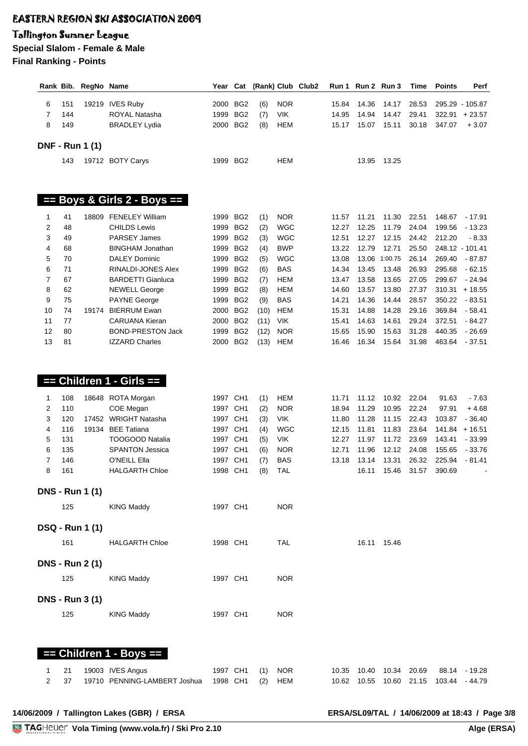#### Tallington Summer League

|          |          | Rank Bib. RegNo Name   |                                                   | Year Cat     |                                    |              |                          | (Rank) Club Club2 |                | Run 1 Run 2 Run 3 |                | Time           | <b>Points</b>    | Perf                 |
|----------|----------|------------------------|---------------------------------------------------|--------------|------------------------------------|--------------|--------------------------|-------------------|----------------|-------------------|----------------|----------------|------------------|----------------------|
| 6        | 151      |                        | 19219 IVES Ruby                                   | 2000         | BG2                                | (6)          | <b>NOR</b>               |                   | 15.84          | 14.36             | 14.17          | 28.53          |                  | 295.29 - 105.87      |
| 7        | 144      |                        | ROYAL Natasha                                     | 1999         | BG <sub>2</sub>                    | (7)          | <b>VIK</b>               |                   | 14.95          | 14.94             | 14.47          | 29.41          | 322.91           | $+23.57$             |
| 8        | 149      |                        | <b>BRADLEY Lydia</b>                              | 2000         | BG <sub>2</sub>                    | (8)          | <b>HEM</b>               |                   | 15.17          | 15.07             | 15.11          | 30.18          | 347.07           | $+3.07$              |
|          |          |                        |                                                   |              |                                    |              |                          |                   |                |                   |                |                |                  |                      |
|          |          | <b>DNF - Run 1 (1)</b> |                                                   |              |                                    |              |                          |                   |                |                   |                |                |                  |                      |
|          | 143      |                        | 19712 BOTY Carys                                  |              | 1999 BG2                           |              | HEM                      |                   |                | 13.95             | 13.25          |                |                  |                      |
|          |          |                        |                                                   |              |                                    |              |                          |                   |                |                   |                |                |                  |                      |
|          |          |                        |                                                   |              |                                    |              |                          |                   |                |                   |                |                |                  |                      |
|          |          |                        |                                                   |              |                                    |              |                          |                   |                |                   |                |                |                  |                      |
|          |          |                        | $==$ Boys & Girls 2 - Boys $==$                   |              |                                    |              |                          |                   |                |                   |                |                |                  |                      |
| 1        | 41       |                        | 18809 FENELEY William                             |              | 1999 BG2                           | (1)          | <b>NOR</b>               |                   | 11.57          | 11.21             | 11.30          | 22.51          | 148.67           | $-17.91$             |
| 2        | 48       |                        | <b>CHILDS Lewis</b>                               | 1999         | BG <sub>2</sub>                    | (2)          | WGC                      |                   | 12.27          | 12.25             | 11.79          | 24.04          | 199.56           | $-13.23$             |
| 3        | 49       |                        | <b>PARSEY James</b>                               | 1999         | BG <sub>2</sub>                    | (3)          | WGC                      |                   | 12.51          | 12.27             | 12.15          | 24.42          | 212.20           | $-8.33$              |
| 4        | 68       |                        | <b>BINGHAM Jonathan</b>                           | 1999         | BG <sub>2</sub>                    | (4)          | <b>BWP</b>               |                   | 13.22          | 12.79             | 12.71          | 25.50          |                  | 248.12 - 101.41      |
| 5        | 70       |                        | <b>DALEY Dominic</b>                              | 1999         | BG <sub>2</sub>                    | (5)          | <b>WGC</b>               |                   | 13.08          | 13.06             | 1:00.75        | 26.14          | 269.40           | $-87.87$             |
| 6        | 71       |                        | RINALDI-JONES Alex                                | 1999         | BG <sub>2</sub>                    | (6)          | <b>BAS</b>               |                   | 14.34          | 13.45             | 13.48          | 26.93          | 295.68           | $-62.15$             |
| 7        | 67       |                        | <b>BARDETTI Gianluca</b>                          | 1999         | BG <sub>2</sub>                    | (7)          | <b>HEM</b>               |                   | 13.47          | 13.58             | 13.65          | 27.05          | 299.67           | $-24.94$             |
| 8        | 62       |                        | <b>NEWELL George</b>                              | 1999         | BG <sub>2</sub>                    | (8)          | <b>HEM</b>               |                   | 14.60          | 13.57             | 13.80          | 27.37          | 310.31           | $+18.55$             |
| 9        | 75       |                        | <b>PAYNE George</b>                               | 1999         | BG <sub>2</sub>                    | (9)          | <b>BAS</b>               |                   | 14.21          | 14.36             | 14.44          | 28.57          | 350.22           | $-83.51$             |
| 10       | 74       |                        | 19174 BIERRUM Ewan                                | 2000         | BG <sub>2</sub>                    | (10)         | <b>HEM</b>               |                   | 15.31          | 14.88             | 14.28          | 29.16          | 369.84           | $-58.41$             |
| 11<br>12 | 77<br>80 |                        | <b>CARUANA Kieran</b><br><b>BOND-PRESTON Jack</b> | 2000<br>1999 | BG <sub>2</sub><br>BG <sub>2</sub> | (11)         | <b>VIK</b><br><b>NOR</b> |                   | 15.41<br>15.65 | 14.63<br>15.90    | 14.61<br>15.63 | 29.24<br>31.28 | 372.51<br>440.35 | $-84.27$<br>$-26.69$ |
| 13       | 81       |                        | <b>IZZARD Charles</b>                             | 2000         | BG <sub>2</sub>                    | (12)<br>(13) | <b>HEM</b>               |                   | 16.46          | 16.34             | 15.64          | 31.98          | 463.64           | $-37.51$             |
|          |          |                        |                                                   |              |                                    |              |                          |                   |                |                   |                |                |                  |                      |
|          |          |                        |                                                   |              |                                    |              |                          |                   |                |                   |                |                |                  |                      |
|          |          |                        |                                                   |              |                                    |              |                          |                   |                |                   |                |                |                  |                      |
|          |          |                        | $==$ Children 1 - Girls $==$                      |              |                                    |              |                          |                   |                |                   |                |                |                  |                      |
| 1        | 108      |                        | 18648 ROTA Morgan                                 | 1997 CH1     |                                    | (1)          | HEM                      |                   | 11.71          | 11.12             | 10.92          | 22.04          | 91.63            | $-7.63$              |
| 2        | 110      |                        | COE Megan                                         | 1997 CH1     |                                    | (2)          | <b>NOR</b>               |                   | 18.94          | 11.29             | 10.95          | 22.24          | 97.91            | $+4.68$              |
| 3        | 120      |                        | 17452 WRIGHT Natasha                              | 1997 CH1     |                                    | (3)          | <b>VIK</b>               |                   | 11.80          | 11.28             | 11.15          | 22.43          | 103.87           | $-36.40$             |
| 4        | 116      | 19134                  | <b>BEE Tatiana</b>                                | 1997 CH1     |                                    | (4)          | WGC                      |                   | 12.15          | 11.81             | 11.83          | 23.64          | 141.84           | $+16.51$             |
| 5        | 131      |                        | <b>TOOGOOD Natalia</b>                            | 1997 CH1     |                                    | (5)          | <b>VIK</b>               |                   | 12.27          | 11.97             | 11.72          | 23.69          | 143.41           | $-33.99$             |
| 6        | 135      |                        | <b>SPANTON Jessica</b>                            | 1997 CH1     |                                    | (6)          | <b>NOR</b>               |                   | 12.71          | 11.96             | 12.12          | 24.08          | 155.65           | $-33.76$             |
| 7        | 146      |                        | O'NEILL Ella                                      | 1997         | CH <sub>1</sub>                    | (7)          | <b>BAS</b>               |                   | 13.18          | 13.14             | 13.31          | 26.32          | 225.94           | $-81.41$             |
| 8        | 161      |                        | <b>HALGARTH Chloe</b>                             | 1998 CH1     |                                    | (8)          | <b>TAL</b>               |                   |                | 16.11             | 15.46          | 31.57          | 390.69           |                      |
|          |          |                        |                                                   |              |                                    |              |                          |                   |                |                   |                |                |                  |                      |
|          |          | <b>DNS - Run 1 (1)</b> |                                                   |              |                                    |              |                          |                   |                |                   |                |                |                  |                      |
|          | 125      |                        | <b>KING Maddy</b>                                 | 1997 CH1     |                                    |              | <b>NOR</b>               |                   |                |                   |                |                |                  |                      |
|          |          |                        |                                                   |              |                                    |              |                          |                   |                |                   |                |                |                  |                      |
|          |          | <b>DSQ - Run 1 (1)</b> |                                                   |              |                                    |              |                          |                   |                |                   |                |                |                  |                      |
|          | 161      |                        | <b>HALGARTH Chloe</b>                             | 1998 CH1     |                                    |              | <b>TAL</b>               |                   |                |                   | 16.11 15.46    |                |                  |                      |
|          |          |                        |                                                   |              |                                    |              |                          |                   |                |                   |                |                |                  |                      |
|          |          | <b>DNS - Run 2 (1)</b> |                                                   |              |                                    |              |                          |                   |                |                   |                |                |                  |                      |
|          | 125      |                        | <b>KING Maddy</b>                                 | 1997 CH1     |                                    |              | <b>NOR</b>               |                   |                |                   |                |                |                  |                      |
|          |          |                        |                                                   |              |                                    |              |                          |                   |                |                   |                |                |                  |                      |
|          |          | <b>DNS - Run 3 (1)</b> |                                                   |              |                                    |              |                          |                   |                |                   |                |                |                  |                      |
|          | 125      |                        | <b>KING Maddy</b>                                 | 1997 CH1     |                                    |              | <b>NOR</b>               |                   |                |                   |                |                |                  |                      |
|          |          |                        |                                                   |              |                                    |              |                          |                   |                |                   |                |                |                  |                      |
|          |          |                        |                                                   |              |                                    |              |                          |                   |                |                   |                |                |                  |                      |
|          |          |                        |                                                   |              |                                    |              |                          |                   |                |                   |                |                |                  |                      |
|          |          |                        | == Children 1 - Boys ==                           |              |                                    |              |                          |                   |                |                   |                |                |                  |                      |
| 1        | 21       |                        | 19003 IVES Angus                                  | 1997 CH1     |                                    | (1)          | <b>NOR</b>               |                   | 10.35          | 10.40             | 10.34          | 20.69          |                  | 88.14 - 19.28        |
| 2        | 37       |                        | 19710 PENNING-LAMBERT Joshua                      | 1998 CH1     |                                    | (2)          | <b>HEM</b>               |                   | 10.62          | 10.55             | 10.60          | 21.15          |                  | 103.44 - 44.79       |
|          |          |                        |                                                   |              |                                    |              |                          |                   |                |                   |                |                |                  |                      |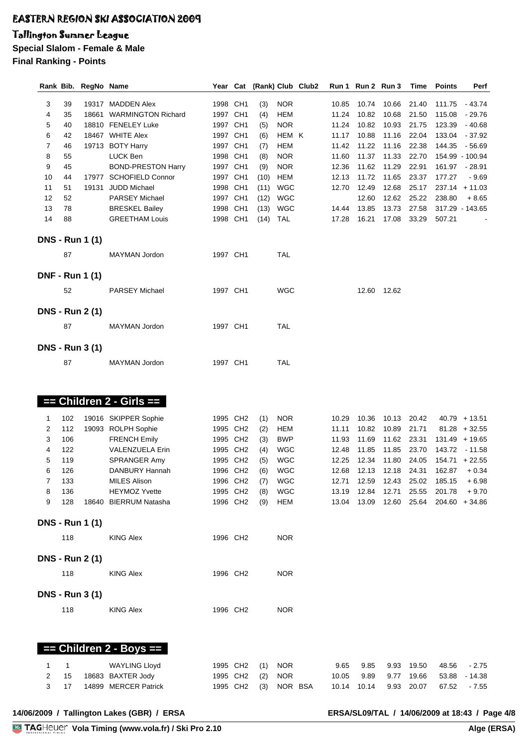#### Tallington Summer League

**Special Slalom - Female & Male**

**Final Ranking - Points**

|                |     | Rank Bib. RegNo Name   |                              |                      | Year Cat |      |            | (Rank) Club Club2 |       | Run 1 Run 2 Run 3 |                            | Time  | <b>Points</b>   | Perf             |
|----------------|-----|------------------------|------------------------------|----------------------|----------|------|------------|-------------------|-------|-------------------|----------------------------|-------|-----------------|------------------|
|                |     |                        |                              |                      |          |      |            |                   |       |                   |                            |       |                 |                  |
| 3              | 39  |                        | 19317 MADDEN Alex            | 1998 CH1             |          | (3)  | <b>NOR</b> |                   | 10.85 | 10.74             | 10.66                      | 21.40 |                 | 111.75   43.74   |
| 4              | 35  |                        | 18661 WARMINGTON Richard     | 1997 CH1             |          | (4)  | <b>HEM</b> |                   | 11.24 | 10.82             | 10.68                      | 21.50 | 115.08          | - 29.76          |
| 5              | 40  |                        | 18810 FENELEY Luke           | 1997 CH1             |          | (5)  | <b>NOR</b> |                   | 11.24 | 10.82             | 10.93                      | 21.75 | 123.39          | - 40.68          |
| 6              | 42  |                        | 18467 WHITE Alex             | 1997 CH1             |          | (6)  | HEM K      |                   | 11.17 | 10.88             | 11.16                      | 22.04 | 133.04          | $-37.92$         |
| $\overline{7}$ | 46  |                        | 19713 BOTY Harry             | 1997 CH1             |          | (7)  | HEM        |                   | 11.42 | 11.22             | 11.16                      | 22.38 | 144.35          | - 56.69          |
| 8              | 55  |                        | LUCK Ben                     | 1998 CH1             |          | (8)  | <b>NOR</b> |                   | 11.60 | 11.37             | 11.33                      | 22.70 |                 | 154.99 - 100.94  |
| 9              | 45  |                        | <b>BOND-PRESTON Harry</b>    | 1997 CH1             |          | (9)  | <b>NOR</b> |                   | 12.36 | 11.62             | 11.29                      | 22.91 |                 | 161.97 - 28.91   |
| 10             | 44  |                        | 17977 SCHOFIELD Connor       | 1997 CH1             |          | (10) | <b>HEM</b> |                   | 12.13 | 11.72             | 11.65                      | 23.37 | 177.27          | $-9.69$          |
| 11             | 51  |                        | 19131 JUDD Michael           | 1998 CH1             |          | (11) | <b>WGC</b> |                   | 12.70 | 12.49             | 12.68                      | 25.17 |                 | $237.14 + 11.03$ |
| 12             | 52  |                        | <b>PARSEY Michael</b>        | 1997 CH1             |          | (12) | <b>WGC</b> |                   |       | 12.60             | 12.62                      | 25.22 | 238.80          | $+8.65$          |
| 13             | 78  |                        | <b>BRESKEL Bailey</b>        | 1998 CH1             |          | (13) | <b>WGC</b> |                   | 14.44 | 13.85             | 13.73                      | 27.58 |                 | 317.29 - 143.65  |
| 14             | 88  |                        | <b>GREETHAM Louis</b>        | 1998 CH1             |          | (14) | <b>TAL</b> |                   | 17.28 | 16.21             | 17.08                      | 33.29 | 507.21          |                  |
|                |     |                        |                              |                      |          |      |            |                   |       |                   |                            |       |                 |                  |
|                |     | <b>DNS - Run 1 (1)</b> |                              |                      |          |      |            |                   |       |                   |                            |       |                 |                  |
|                |     |                        |                              |                      |          |      |            |                   |       |                   |                            |       |                 |                  |
|                | 87  |                        | MAYMAN Jordon                | 1997 CH1             |          |      | TAL        |                   |       |                   |                            |       |                 |                  |
|                |     |                        |                              |                      |          |      |            |                   |       |                   |                            |       |                 |                  |
|                |     | <b>DNF - Run 1 (1)</b> |                              |                      |          |      |            |                   |       |                   |                            |       |                 |                  |
|                | 52  |                        | <b>PARSEY Michael</b>        | 1997 CH1             |          |      | <b>WGC</b> |                   |       |                   | 12.60 12.62                |       |                 |                  |
|                |     |                        |                              |                      |          |      |            |                   |       |                   |                            |       |                 |                  |
|                |     | <b>DNS - Run 2 (1)</b> |                              |                      |          |      |            |                   |       |                   |                            |       |                 |                  |
|                |     |                        |                              |                      |          |      |            |                   |       |                   |                            |       |                 |                  |
|                | 87  |                        | MAYMAN Jordon                | 1997 CH1             |          |      | <b>TAL</b> |                   |       |                   |                            |       |                 |                  |
|                |     |                        |                              |                      |          |      |            |                   |       |                   |                            |       |                 |                  |
|                |     | <b>DNS - Run 3 (1)</b> |                              |                      |          |      |            |                   |       |                   |                            |       |                 |                  |
|                |     |                        |                              |                      |          |      |            |                   |       |                   |                            |       |                 |                  |
|                | 87  |                        | <b>MAYMAN Jordon</b>         | 1997 CH1             |          |      | TAL        |                   |       |                   |                            |       |                 |                  |
|                |     |                        |                              |                      |          |      |            |                   |       |                   |                            |       |                 |                  |
|                |     |                        |                              |                      |          |      |            |                   |       |                   |                            |       |                 |                  |
|                |     |                        | $==$ Children 2 - Girls $==$ |                      |          |      |            |                   |       |                   |                            |       |                 |                  |
|                |     |                        |                              |                      |          |      |            |                   |       |                   |                            |       |                 |                  |
| 1              | 102 |                        | 19016 SKIPPER Sophie         | 1995 CH <sub>2</sub> |          | (1)  | <b>NOR</b> |                   | 10.29 | 10.36             | 10.13                      | 20.42 |                 | $40.79 + 13.51$  |
| 2              | 112 |                        | 19093 ROLPH Sophie           | 1995 CH2             |          | (2)  | <b>HEM</b> |                   | 11.11 | 10.82             | 10.89                      | 21.71 |                 | $81.28 + 32.55$  |
| 3              | 106 |                        | <b>FRENCH Emily</b>          | 1995 CH2             |          | (3)  | <b>BWP</b> |                   | 11.93 | 11.69             | 11.62                      | 23.31 |                 | $131.49 + 19.65$ |
| 4              | 122 |                        | VALENZUELA Erin              | 1995 CH2             |          | (4)  | <b>WGC</b> |                   | 12.48 | 11.85             | 11.85                      | 23.70 |                 | 143.72 - 11.58   |
| 5              | 119 |                        | SPRANGER Amy                 | 1995 CH2             |          | (5)  | <b>WGC</b> |                   | 12.25 | 12.34             | 11.80                      | 24.05 |                 | $154.71 + 22.55$ |
| 6              | 126 |                        | DANBURY Hannah               | 1996 CH2             |          | (6)  | <b>WGC</b> |                   | 12.68 | 12.13             | 12.18                      | 24.31 | 162.87          | $+0.34$          |
| $\overline{7}$ | 133 |                        | MILES Alison                 | 1996 CH2             |          | (7)  | <b>WGC</b> |                   |       |                   | 12.71  12.59  12.43  25.02 |       | $185.15 + 6.98$ |                  |
| 8              | 136 |                        | <b>HEYMOZ Yvette</b>         | 1995 CH2             |          | (8)  | WGC        |                   |       |                   |                            | 25.55 |                 | $201.78 + 9.70$  |
| 9              | 128 |                        | 18640 BIERRUM Natasha        | 1996 CH2             |          | (9)  | HEM        |                   |       |                   | 13.04  13.09  12.60        | 25.64 |                 | $204.60 + 34.86$ |
|                |     |                        |                              |                      |          |      |            |                   |       |                   |                            |       |                 |                  |
|                |     | <b>DNS - Run 1 (1)</b> |                              |                      |          |      |            |                   |       |                   |                            |       |                 |                  |
|                |     |                        |                              |                      |          |      |            |                   |       |                   |                            |       |                 |                  |
|                | 118 |                        | <b>KING Alex</b>             | 1996 CH2             |          |      | <b>NOR</b> |                   |       |                   |                            |       |                 |                  |
|                |     |                        |                              |                      |          |      |            |                   |       |                   |                            |       |                 |                  |
|                |     | <b>DNS - Run 2 (1)</b> |                              |                      |          |      |            |                   |       |                   |                            |       |                 |                  |
|                | 118 |                        | <b>KING Alex</b>             | 1996 CH2             |          |      | <b>NOR</b> |                   |       |                   |                            |       |                 |                  |
|                |     |                        |                              |                      |          |      |            |                   |       |                   |                            |       |                 |                  |
|                |     |                        |                              |                      |          |      |            |                   |       |                   |                            |       |                 |                  |
|                |     | <b>DNS - Run 3 (1)</b> |                              |                      |          |      |            |                   |       |                   |                            |       |                 |                  |
|                | 118 |                        | <b>KING Alex</b>             | 1996 CH2             |          |      | <b>NOR</b> |                   |       |                   |                            |       |                 |                  |
|                |     |                        |                              |                      |          |      |            |                   |       |                   |                            |       |                 |                  |
|                |     |                        |                              |                      |          |      |            |                   |       |                   |                            |       |                 |                  |
|                |     |                        |                              |                      |          |      |            |                   |       |                   |                            |       |                 |                  |
|                |     |                        | == Children 2 - Boys ==      |                      |          |      |            |                   |       |                   |                            |       |                 |                  |
|                |     |                        |                              |                      |          |      |            |                   |       |                   |                            |       |                 |                  |
| 1              | 1   |                        | <b>WAYLING Lloyd</b>         | 1995 CH2             |          | (1)  | <b>NOR</b> |                   | 9.65  | 9.85              | 9.93                       | 19.50 | 48.56           | $-2.75$          |
| 2              | 15  |                        | 18683 BAXTER Jody            | 1995 CH2             |          | (2)  | <b>NOR</b> |                   | 10.05 | 9.89              | 9.77                       | 19.66 | 53.88           | $-14.38$         |
| 3              | 17  |                        | 14899 MERCER Patrick         | 1995 CH2             |          | (3)  | NOR BSA    |                   | 10.14 | 10.14             | 9.93                       | 20.07 | 67.52           | $-7.55$          |
|                |     |                        |                              |                      |          |      |            |                   |       |                   |                            |       |                 |                  |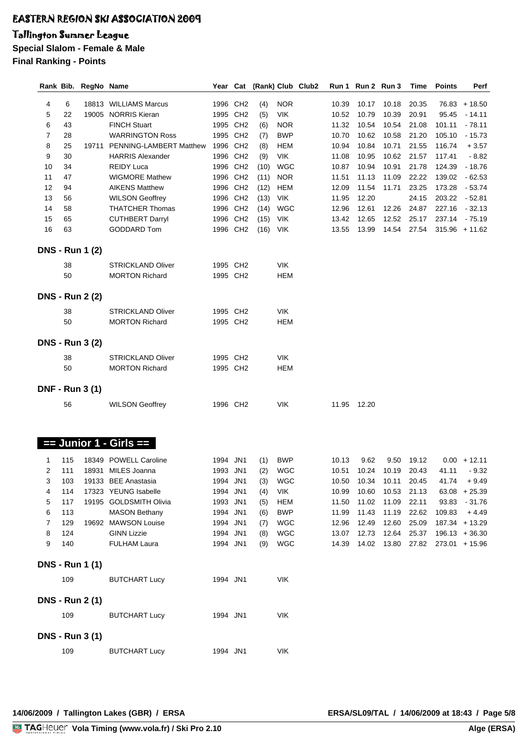#### Tallington Summer League

**Special Slalom - Female & Male**

**Final Ranking - Points**

|    |     | Rank Bib. RegNo Name   |                               | Year Cat |                      |      |            | (Rank) Club Club2 |       | Run 1 Run 2 Run 3 |                     | Time  | <b>Points</b> | Perf             |
|----|-----|------------------------|-------------------------------|----------|----------------------|------|------------|-------------------|-------|-------------------|---------------------|-------|---------------|------------------|
|    |     |                        |                               |          |                      |      |            |                   |       |                   |                     |       |               |                  |
| 4  | 6   |                        | 18813 WILLIAMS Marcus         | 1996 CH2 |                      | (4)  | <b>NOR</b> |                   | 10.39 | 10.17             | 10.18               | 20.35 |               | $76.83 + 18.50$  |
| 5  | 22  |                        | 19005 NORRIS Kieran           | 1995 CH2 |                      | (5)  | VIK        |                   | 10.52 | 10.79             | 10.39               | 20.91 | 95.45         | $-14.11$         |
| 6  | 43  |                        | <b>FINCH Stuart</b>           | 1995 CH2 |                      | (6)  | <b>NOR</b> |                   | 11.32 | 10.54             | 10.54               | 21.08 | 101.11        | $-78.11$         |
| 7  | 28  |                        | <b>WARRINGTON Ross</b>        | 1995 CH2 |                      | (7)  | <b>BWP</b> |                   | 10.70 | 10.62             | 10.58               | 21.20 | 105.10        | $-15.73$         |
| 8  | 25  |                        | 19711 PENNING-LAMBERT Matthew | 1996 CH2 |                      | (8)  | <b>HEM</b> |                   | 10.94 | 10.84             | 10.71               | 21.55 | 116.74        | $+3.57$          |
| 9  | 30  |                        | <b>HARRIS Alexander</b>       | 1996 CH2 |                      | (9)  | <b>VIK</b> |                   | 11.08 | 10.95             | 10.62               | 21.57 | 117.41        | $-8.82$          |
| 10 | 34  |                        | <b>REIDY Luca</b>             | 1996 CH2 |                      | (10) | <b>WGC</b> |                   | 10.87 | 10.94             | 10.91               | 21.78 | 124.39        | $-18.76$         |
| 11 | 47  |                        | <b>WIGMORE Mathew</b>         | 1996 CH2 |                      | (11) | <b>NOR</b> |                   | 11.51 | 11.13             | 11.09               | 22.22 | 139.02        | $-62.53$         |
| 12 | 94  |                        | <b>AIKENS Matthew</b>         | 1996 CH2 |                      | (12) | <b>HEM</b> |                   | 12.09 | 11.54             | 11.71               | 23.25 | 173.28        | $-53.74$         |
| 13 | 56  |                        | <b>WILSON Geoffrey</b>        | 1996 CH2 |                      | (13) | <b>VIK</b> |                   | 11.95 | 12.20             |                     | 24.15 | 203.22        | $-52.81$         |
| 14 | 58  |                        | <b>THATCHER Thomas</b>        | 1996 CH2 |                      | (14) | <b>WGC</b> |                   | 12.96 | 12.61             | 12.26               | 24.87 | 227.16        | $-32.13$         |
| 15 | 65  |                        | <b>CUTHBERT Darryl</b>        | 1996 CH2 |                      | (15) | <b>VIK</b> |                   | 13.42 | 12.65             | 12.52               | 25.17 |               | 237.14 - 75.19   |
| 16 | 63  |                        | <b>GODDARD Tom</b>            | 1996 CH2 |                      | (16) | <b>VIK</b> |                   | 13.55 | 13.99             | 14.54               | 27.54 |               | $315.96 + 11.62$ |
|    |     |                        |                               |          |                      |      |            |                   |       |                   |                     |       |               |                  |
|    |     | <b>DNS - Run 1 (2)</b> |                               |          |                      |      |            |                   |       |                   |                     |       |               |                  |
|    | 38  |                        | STRICKLAND Oliver             |          | 1995 CH <sub>2</sub> |      | <b>VIK</b> |                   |       |                   |                     |       |               |                  |
|    | 50  |                        | <b>MORTON Richard</b>         | 1995 CH2 |                      |      | <b>HEM</b> |                   |       |                   |                     |       |               |                  |
|    |     |                        |                               |          |                      |      |            |                   |       |                   |                     |       |               |                  |
|    |     | <b>DNS - Run 2 (2)</b> |                               |          |                      |      |            |                   |       |                   |                     |       |               |                  |
|    |     |                        |                               |          |                      |      |            |                   |       |                   |                     |       |               |                  |
|    | 38  |                        | <b>STRICKLAND Oliver</b>      |          | 1995 CH <sub>2</sub> |      | VIK        |                   |       |                   |                     |       |               |                  |
|    | 50  |                        | <b>MORTON Richard</b>         |          | 1995 CH2             |      | HEM        |                   |       |                   |                     |       |               |                  |
|    |     |                        |                               |          |                      |      |            |                   |       |                   |                     |       |               |                  |
|    |     | <b>DNS - Run 3 (2)</b> |                               |          |                      |      |            |                   |       |                   |                     |       |               |                  |
|    | 38  |                        | <b>STRICKLAND Oliver</b>      |          | 1995 CH <sub>2</sub> |      | <b>VIK</b> |                   |       |                   |                     |       |               |                  |
|    | 50  |                        | <b>MORTON Richard</b>         |          | 1995 CH <sub>2</sub> |      | <b>HEM</b> |                   |       |                   |                     |       |               |                  |
|    |     |                        |                               |          |                      |      |            |                   |       |                   |                     |       |               |                  |
|    |     | <b>DNF - Run 3 (1)</b> |                               |          |                      |      |            |                   |       |                   |                     |       |               |                  |
|    |     |                        |                               |          |                      |      |            |                   |       |                   |                     |       |               |                  |
|    | 56  |                        | <b>WILSON Geoffrey</b>        | 1996 CH2 |                      |      | VIK        |                   |       | 11.95 12.20       |                     |       |               |                  |
|    |     |                        |                               |          |                      |      |            |                   |       |                   |                     |       |               |                  |
|    |     |                        |                               |          |                      |      |            |                   |       |                   |                     |       |               |                  |
|    |     |                        | $==$ Junior 1 - Girls $==$    |          |                      |      |            |                   |       |                   |                     |       |               |                  |
|    |     |                        |                               |          |                      |      |            |                   |       |                   |                     |       |               |                  |
| 1  | 115 |                        | 18349 POWELL Caroline         | 1994 JN1 |                      | (1)  | <b>BWP</b> |                   | 10.13 | 9.62              | 9.50                | 19.12 |               | $0.00 + 12.11$   |
| 2  | 111 |                        | 18931 MILES Joanna            | 1993 JN1 |                      | (2)  | WGC        |                   | 10.51 |                   | 10.24 10.19         | 20.43 | 41.11         | $-9.32$          |
| 3  | 103 |                        | 19133 BEE Anastasia           | 1994 JN1 |                      |      | $(3)$ WGC  |                   |       |                   | 10.50  10.34  10.11 | 20.45 |               | $41.74 + 9.49$   |
| 4  | 114 |                        | 17323 YEUNG Isabelle          | 1994 JN1 |                      | (4)  | VIK        |                   | 10.99 |                   | 10.60 10.53         | 21.13 |               | $63.08 + 25.39$  |
| 5  | 117 |                        | 19195 GOLDSMITH Olivia        | 1993 JN1 |                      | (5)  | <b>HEM</b> |                   | 11.50 | 11.02             | 11.09               | 22.11 |               | 93.83 - 31.76    |
| 6  | 113 |                        | <b>MASON Bethany</b>          | 1994 JN1 |                      | (6)  | <b>BWP</b> |                   | 11.99 | 11.43             | 11.19               | 22.62 | 109.83        | $+4.49$          |
| 7  | 129 |                        | 19692 MAWSON Louise           | 1994 JN1 |                      | (7)  | <b>WGC</b> |                   | 12.96 | 12.49             | 12.60               | 25.09 |               | 187.34 + 13.29   |
| 8  | 124 |                        | <b>GINN Lizzie</b>            | 1994 JN1 |                      | (8)  | WGC        |                   | 13.07 | 12.73             | 12.64               | 25.37 |               | $196.13 + 36.30$ |
| 9  | 140 |                        | <b>FULHAM Laura</b>           | 1994 JN1 |                      | (9)  | <b>WGC</b> |                   | 14.39 |                   | 14.02 13.80         | 27.82 |               | $273.01 + 15.96$ |
|    |     |                        |                               |          |                      |      |            |                   |       |                   |                     |       |               |                  |
|    |     | <b>DNS - Run 1 (1)</b> |                               |          |                      |      |            |                   |       |                   |                     |       |               |                  |
|    | 109 |                        | <b>BUTCHART Lucy</b>          | 1994 JN1 |                      |      | <b>VIK</b> |                   |       |                   |                     |       |               |                  |
|    |     |                        |                               |          |                      |      |            |                   |       |                   |                     |       |               |                  |
|    |     | <b>DNS - Run 2 (1)</b> |                               |          |                      |      |            |                   |       |                   |                     |       |               |                  |
|    |     |                        |                               |          |                      |      |            |                   |       |                   |                     |       |               |                  |
|    | 109 |                        | <b>BUTCHART Lucy</b>          | 1994 JN1 |                      |      | VIK        |                   |       |                   |                     |       |               |                  |
|    |     |                        |                               |          |                      |      |            |                   |       |                   |                     |       |               |                  |
|    |     | <b>DNS - Run 3 (1)</b> |                               |          |                      |      |            |                   |       |                   |                     |       |               |                  |
|    | 109 |                        | <b>BUTCHART Lucy</b>          | 1994 JN1 |                      |      | <b>VIK</b> |                   |       |                   |                     |       |               |                  |
|    |     |                        |                               |          |                      |      |            |                   |       |                   |                     |       |               |                  |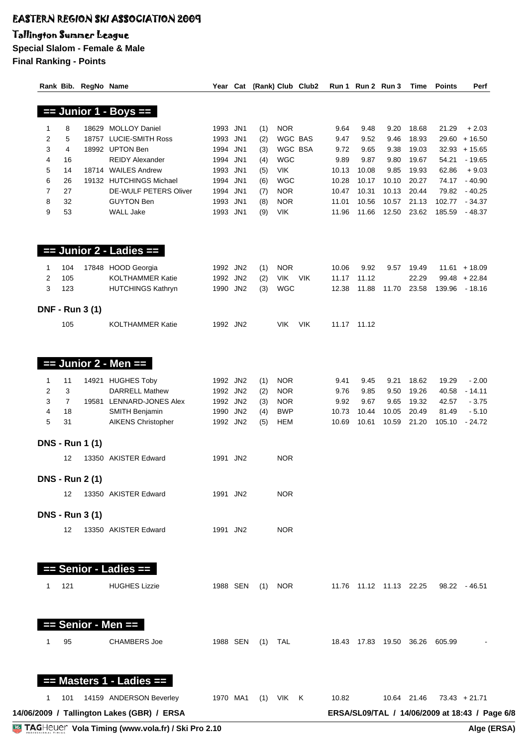### Tallington Summer League

|                |                | Rank Bib. RegNo Name   |                                                          |                      |         |                   | Year Cat (Rank) Club Club2 |                | Run 1 Run 2 Run 3 |                | Time                       | <b>Points</b>                                  | Perf                |
|----------------|----------------|------------------------|----------------------------------------------------------|----------------------|---------|-------------------|----------------------------|----------------|-------------------|----------------|----------------------------|------------------------------------------------|---------------------|
|                |                |                        | $==$ Junior 1 - Boys $==$                                |                      |         |                   |                            |                |                   |                |                            |                                                |                     |
|                |                |                        |                                                          |                      |         |                   |                            |                |                   |                |                            |                                                |                     |
| 1              | 8              |                        | 18629 MOLLOY Daniel                                      | 1993 JN1             | (1)     | <b>NOR</b>        |                            | 9.64           | 9.48              | 9.20           | 18.68                      | 21.29                                          | $+2.03$             |
| $\overline{c}$ | 5              |                        | 18757 LUCIE-SMITH Ross                                   | 1993 JN1             | (2)     | WGC BAS           |                            | 9.47           | 9.52              | 9.46           | 18.93                      |                                                | $29.60 + 16.50$     |
| 3              | 4              |                        | 18992 UPTON Ben                                          | 1994 JN1             | (3)     | WGC BSA           |                            | 9.72           | 9.65              | 9.38           | 19.03                      |                                                | $32.93 + 15.65$     |
| 4              | 16             |                        | <b>REIDY Alexander</b>                                   | 1994 JN1             | (4)     | <b>WGC</b>        |                            | 9.89           | 9.87              | 9.80           | 19.67                      | 54.21                                          | $-19.65$            |
| 5              | 14             |                        | 18714 WAILES Andrew                                      | 1993 JN1             | (5)     | <b>VIK</b>        |                            | 10.13          | 10.08             | 9.85           | 19.93                      | 62.86                                          | $+9.03$             |
| 6              | 26             |                        | 19132 HUTCHINGS Michael                                  | 1994 JN1             | (6)     | <b>WGC</b>        |                            | 10.28          | 10.17             | 10.10          | 20.27                      | 74.17                                          | $-40.90$            |
| $\overline{7}$ | 27             |                        | <b>DE-WULF PETERS Oliver</b>                             | 1994 JN1             | (7)     | <b>NOR</b>        |                            | 10.47          | 10.31             | 10.13          | 20.44                      | 79.82                                          | $-40.25$            |
| 8<br>9         | 32<br>53       |                        | <b>GUYTON Ben</b><br><b>WALL Jake</b>                    | 1993 JN1<br>1993 JN1 | (8)     | <b>NOR</b><br>VIK |                            | 11.01<br>11.96 | 10.56<br>11.66    | 10.57<br>12.50 | 21.13<br>23.62             | 102.77<br>185.59                               | $-34.37$<br>- 48.37 |
|                |                |                        |                                                          |                      | (9)     |                   |                            |                |                   |                |                            |                                                |                     |
|                |                |                        | $==$ Junior 2 - Ladies $==$                              |                      |         |                   |                            |                |                   |                |                            |                                                |                     |
| $\mathbf{1}$   | 104            |                        | 17848 HOOD Georgia                                       | 1992 JN2             | (1)     | <b>NOR</b>        |                            | 10.06          | 9.92              | 9.57           | 19.49                      |                                                | $11.61 + 18.09$     |
| 2              | 105            |                        | <b>KOLTHAMMER Katie</b>                                  | 1992 JN2             | (2)     | VIK               | VIK                        | 11.17          | 11.12             |                | 22.29                      |                                                | $99.48 + 22.84$     |
| 3              | 123            |                        | <b>HUTCHINGS Kathryn</b>                                 | 1990 JN2             | (3)     | <b>WGC</b>        |                            | 12.38          | 11.88             |                | 11.70 23.58                |                                                | 139.96 - 18.16      |
|                |                |                        |                                                          |                      |         |                   |                            |                |                   |                |                            |                                                |                     |
|                |                | <b>DNF - Run 3 (1)</b> |                                                          |                      |         |                   |                            |                |                   |                |                            |                                                |                     |
|                | 105            |                        | <b>KOLTHAMMER Katie</b>                                  | 1992 JN2             |         | VIK.              | <b>VIK</b>                 |                | 11.17 11.12       |                |                            |                                                |                     |
|                |                |                        | $==$ Junior 2 - Men $==$                                 |                      |         |                   |                            |                |                   |                |                            |                                                |                     |
|                |                |                        |                                                          |                      |         |                   |                            |                |                   |                |                            |                                                |                     |
| $\mathbf{1}$   | 11             |                        | 14921 HUGHES Toby                                        | 1992 JN2             | (1)     | <b>NOR</b>        |                            | 9.41           | 9.45              | 9.21           | 18.62                      | 19.29                                          | $-2.00$             |
| 2              | 3              |                        | <b>DARRELL Mathew</b>                                    | 1992 JN2             | (2)     | <b>NOR</b>        |                            | 9.76           | 9.85              | 9.50           | 19.26                      | 40.58                                          | $-14.11$            |
| 3              | $\overline{7}$ | 19581                  | <b>LENNARD-JONES Alex</b>                                | 1992 JN2             | (3)     | <b>NOR</b>        |                            | 9.92           | 9.67              | 9.65           | 19.32                      | 42.57                                          | $-3.75$             |
| 4              | 18             |                        | <b>SMITH Benjamin</b>                                    | 1990 JN2             | (4)     | <b>BWP</b>        |                            | 10.73          | 10.44             | 10.05          | 20.49                      | 81.49                                          | $-5.10$             |
| 5              | 31             |                        | <b>AIKENS Christopher</b>                                | 1992 JN2             | (5)     | <b>HEM</b>        |                            | 10.69          | 10.61             | 10.59          | 21.20                      | 105.10                                         | - 24.72             |
|                |                | <b>DNS - Run 1 (1)</b> |                                                          |                      |         |                   |                            |                |                   |                |                            |                                                |                     |
|                | 12             |                        | 13350 AKISTER Edward                                     | 1991 JN2             |         | <b>NOR</b>        |                            |                |                   |                |                            |                                                |                     |
|                |                | <b>DNS - Run 2 (1)</b> |                                                          |                      |         |                   |                            |                |                   |                |                            |                                                |                     |
|                | 12             |                        | 13350 AKISTER Edward                                     | 1991 JN2             |         | <b>NOR</b>        |                            |                |                   |                |                            |                                                |                     |
|                |                |                        |                                                          |                      |         |                   |                            |                |                   |                |                            |                                                |                     |
|                |                | <b>DNS - Run 3 (1)</b> |                                                          |                      |         |                   |                            |                |                   |                |                            |                                                |                     |
|                | 12             |                        | 13350 AKISTER Edward                                     | 1991 JN2             |         | <b>NOR</b>        |                            |                |                   |                |                            |                                                |                     |
|                |                |                        | == Senior - Ladies ==                                    |                      |         |                   |                            |                |                   |                |                            |                                                |                     |
| 1              | 121            |                        | <b>HUGHES Lizzie</b>                                     | 1988 SEN             |         | $(1)$ NOR         |                            |                |                   |                | 11.76 11.12 11.13 22.25    |                                                | 98.22 - 46.51       |
|                |                |                        |                                                          |                      |         |                   |                            |                |                   |                |                            |                                                |                     |
|                |                |                        | $==$ Senior - Men $==$                                   |                      |         |                   |                            |                |                   |                |                            |                                                |                     |
| 1              | 95             |                        | <b>CHAMBERS Joe</b>                                      | 1988 SEN             | (1) TAL |                   |                            |                |                   |                | 18.43  17.83  19.50  36.26 | 605.99                                         |                     |
|                |                |                        | $==$ Masters 1 - Ladies $==$                             |                      |         |                   |                            |                |                   |                |                            |                                                |                     |
| 1              | 101            |                        | 14159 ANDERSON Beverley                                  | 1970 MA1             |         | $(1)$ VIK K       |                            | 10.82          |                   |                | 10.64 21.46                |                                                | $73.43 + 21.71$     |
|                |                |                        | 14/06/2009 / Tallington Lakes (GBR) / ERSA               |                      |         |                   |                            |                |                   |                |                            | ERSA/SL09/TAL / 14/06/2009 at 18:43 / Page 6/8 |                     |
|                |                |                        | <b>TAGHeuer</b> Vola Timing (www.vola.fr) / Ski Pro 2.10 |                      |         |                   |                            |                |                   |                |                            |                                                | Alge (ERSA)         |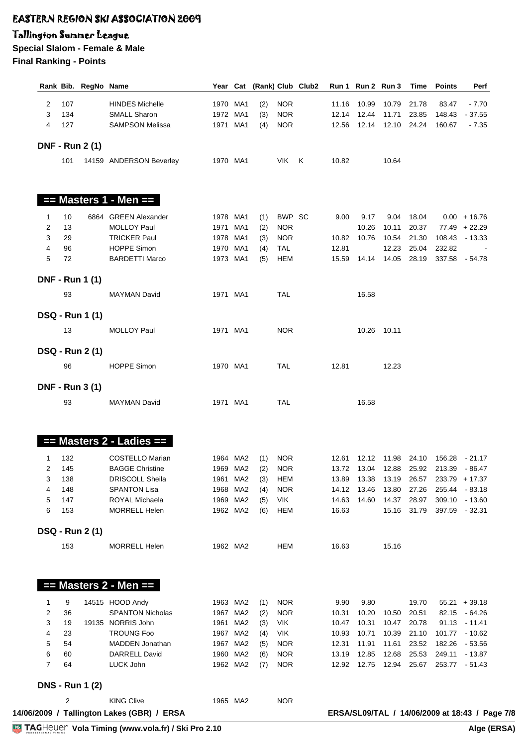#### Tallington Summer League

|                |     | Rank Bib. RegNo Name   |                                                   |          |          |     |            | Year Cat (Rank) Club Club2 |       |             | Run 1 Run 2 Run 3          | Time        | <b>Points</b> | Perf                                           |
|----------------|-----|------------------------|---------------------------------------------------|----------|----------|-----|------------|----------------------------|-------|-------------|----------------------------|-------------|---------------|------------------------------------------------|
| 2              | 107 |                        | <b>HINDES Michelle</b>                            | 1970 MA1 |          | (2) | <b>NOR</b> |                            | 11.16 | 10.99       |                            | 10.79 21.78 | 83.47         | $-7.70$                                        |
| 3              | 134 |                        | <b>SMALL Sharon</b>                               | 1972 MA1 |          | (3) | <b>NOR</b> |                            |       | 12.14 12.44 | 11.71                      | 23.85       | 148.43        | - 37.55                                        |
| 4              | 127 |                        | <b>SAMPSON Melissa</b>                            | 1971 MA1 |          | (4) | <b>NOR</b> |                            |       |             | 12.56 12.14 12.10 24.24    |             | 160.67        | $-7.35$                                        |
|                |     | <b>DNF - Run 2 (1)</b> |                                                   |          |          |     |            |                            |       |             |                            |             |               |                                                |
|                | 101 |                        | 14159 ANDERSON Beverley                           |          | 1970 MA1 |     | VIK K      |                            | 10.82 |             | 10.64                      |             |               |                                                |
|                |     |                        |                                                   |          |          |     |            |                            |       |             |                            |             |               |                                                |
|                |     |                        | $==$ Masters 1 - Men $==$                         |          |          |     |            |                            |       |             |                            |             |               |                                                |
| 1              | 10  |                        | 6864 GREEN Alexander                              | 1978 MA1 |          | (1) | BWP SC     |                            | 9.00  | 9.17        |                            | 9.04 18.04  |               | $0.00 + 16.76$                                 |
| 2              | 13  |                        | <b>MOLLOY Paul</b>                                | 1971 MA1 |          | (2) | <b>NOR</b> |                            |       | 10.26       | 10.11                      | 20.37       |               | $77.49 + 22.29$                                |
| 3              | 29  |                        | <b>TRICKER Paul</b>                               | 1978 MA1 |          | (3) | <b>NOR</b> |                            |       | 10.82 10.76 | 10.54                      | 21.30       |               | 108.43 - 13.33                                 |
| $\overline{4}$ | 96  |                        | <b>HOPPE Simon</b>                                | 1970 MA1 |          | (4) | <b>TAL</b> |                            | 12.81 |             | 12.23                      | 25.04       | 232.82        |                                                |
| 5              | 72  |                        | <b>BARDETTI Marco</b>                             | 1973 MA1 |          | (5) | <b>HEM</b> |                            |       |             | 15.59  14.14  14.05  28.19 |             |               | 337.58 - 54.78                                 |
|                |     | <b>DNF - Run 1 (1)</b> |                                                   |          |          |     |            |                            |       |             |                            |             |               |                                                |
|                | 93  |                        | <b>MAYMAN David</b>                               |          | 1971 MA1 |     | <b>TAL</b> |                            |       | 16.58       |                            |             |               |                                                |
|                |     | <b>DSQ - Run 1 (1)</b> |                                                   |          |          |     |            |                            |       |             |                            |             |               |                                                |
|                | 13  |                        | <b>MOLLOY Paul</b>                                |          | 1971 MA1 |     | <b>NOR</b> |                            |       |             | 10.26 10.11                |             |               |                                                |
|                |     | <b>DSQ - Run 2 (1)</b> |                                                   |          |          |     |            |                            |       |             |                            |             |               |                                                |
|                | 96  |                        | <b>HOPPE Simon</b>                                |          | 1970 MA1 |     | <b>TAL</b> |                            | 12.81 |             | 12.23                      |             |               |                                                |
|                |     | <b>DNF - Run 3 (1)</b> |                                                   |          |          |     |            |                            |       |             |                            |             |               |                                                |
|                | 93  |                        | <b>MAYMAN David</b>                               |          | 1971 MA1 |     | TAL        |                            |       | 16.58       |                            |             |               |                                                |
|                |     |                        | $==$ Masters 2 - Ladies $==$                      |          |          |     |            |                            |       |             |                            |             |               |                                                |
| $\mathbf{1}$   | 132 |                        | <b>COSTELLO Marian</b>                            |          | 1964 MA2 | (1) | <b>NOR</b> |                            |       |             |                            |             |               | 12.61  12.12  11.98  24.10  156.28  - 21.17    |
| 2              | 145 |                        | <b>BAGGE Christine</b>                            |          | 1969 MA2 | (2) | <b>NOR</b> |                            |       |             |                            |             |               | 13.72  13.04  12.88  25.92  213.39  - 86.47    |
| 3              | 138 |                        | <b>DRISCOLL Sheila</b>                            |          | 1961 MA2 | (3) | HEM        |                            |       |             |                            |             |               | 13.89  13.38  13.19  26.57  233.79  + 17.37    |
| 4              | 148 |                        | <b>SPANTON Lisa</b>                               |          | 1968 MA2 | (4) | <b>NOR</b> |                            |       | 14.12 13.46 |                            | 13.80 27.26 |               | 255.44 - 83.18                                 |
| 5              | 147 |                        | ROYAL Michaela                                    |          | 1969 MA2 | (5) | <b>VIK</b> |                            | 14.63 | 14.60       | 14.37                      | 28.97       |               | 309.10 - 13.60                                 |
| 6              | 153 |                        | <b>MORRELL Helen</b>                              |          | 1962 MA2 | (6) | <b>HEM</b> |                            | 16.63 |             |                            | 15.16 31.79 |               | 397.59 - 32.31                                 |
|                |     | <b>DSQ - Run 2 (1)</b> |                                                   |          |          |     |            |                            |       |             |                            |             |               |                                                |
|                | 153 |                        | <b>MORRELL Helen</b>                              |          | 1962 MA2 |     | <b>HEM</b> |                            | 16.63 |             | 15.16                      |             |               |                                                |
|                |     |                        |                                                   |          |          |     |            |                            |       |             |                            |             |               |                                                |
|                |     |                        | $==$ Masters 2 - Men $==$                         |          |          |     |            |                            |       |             |                            |             |               |                                                |
| 1              | 9   |                        | 14515 HOOD Andy                                   |          | 1963 MA2 | (1) | <b>NOR</b> |                            | 9.90  | 9.80        |                            | 19.70       |               | $55.21 + 39.18$                                |
| 2              | 36  |                        | <b>SPANTON Nicholas</b>                           |          | 1967 MA2 | (2) | <b>NOR</b> |                            | 10.31 | 10.20       | 10.50                      | 20.51       |               | 82.15 - 64.26                                  |
| 3              | 19  |                        | 19135 NORRIS John                                 |          | 1961 MA2 | (3) | VIK        |                            | 10.47 | 10.31       | 10.47                      | 20.78       |               | $91.13 - 11.41$                                |
| 4              | 23  |                        | <b>TROUNG Foo</b>                                 |          | 1967 MA2 | (4) | <b>VIK</b> |                            | 10.93 | 10.71       | 10.39                      | 21.10       |               | 101.77 - 10.62                                 |
| 5              | 54  |                        | MADDEN Jonathan                                   |          | 1967 MA2 | (5) | <b>NOR</b> |                            | 12.31 | 11.91       | 11.61                      | 23.52       | 182.26        | - 53.56                                        |
| 6              | 60  |                        | <b>DARRELL David</b>                              |          | 1960 MA2 | (6) | <b>NOR</b> |                            | 13.19 | 12.85       | 12.68                      | 25.53       |               | 249.11 - 13.87                                 |
| $\overline{7}$ | 64  |                        | LUCK John                                         |          | 1962 MA2 | (7) | <b>NOR</b> |                            |       | 12.92 12.75 | 12.94 25.67                |             |               | 253.77 - 51.43                                 |
|                |     | <b>DNS - Run 1 (2)</b> |                                                   |          |          |     |            |                            |       |             |                            |             |               |                                                |
|                | 2   |                        | <b>KING Clive</b>                                 |          | 1965 MA2 |     | <b>NOR</b> |                            |       |             |                            |             |               |                                                |
|                |     |                        | 14/06/2009 / Tallington Lakes (GBR) / ERSA        |          |          |     |            |                            |       |             |                            |             |               | ERSA/SL09/TAL / 14/06/2009 at 18:43 / Page 7/8 |
|                |     |                        |                                                   |          |          |     |            |                            |       |             |                            |             |               |                                                |
|                |     |                        | TAGHeuer Vola Timing (www.vola.fr) / Ski Pro 2.10 |          |          |     |            |                            |       |             |                            |             |               | Alge (ERSA)                                    |